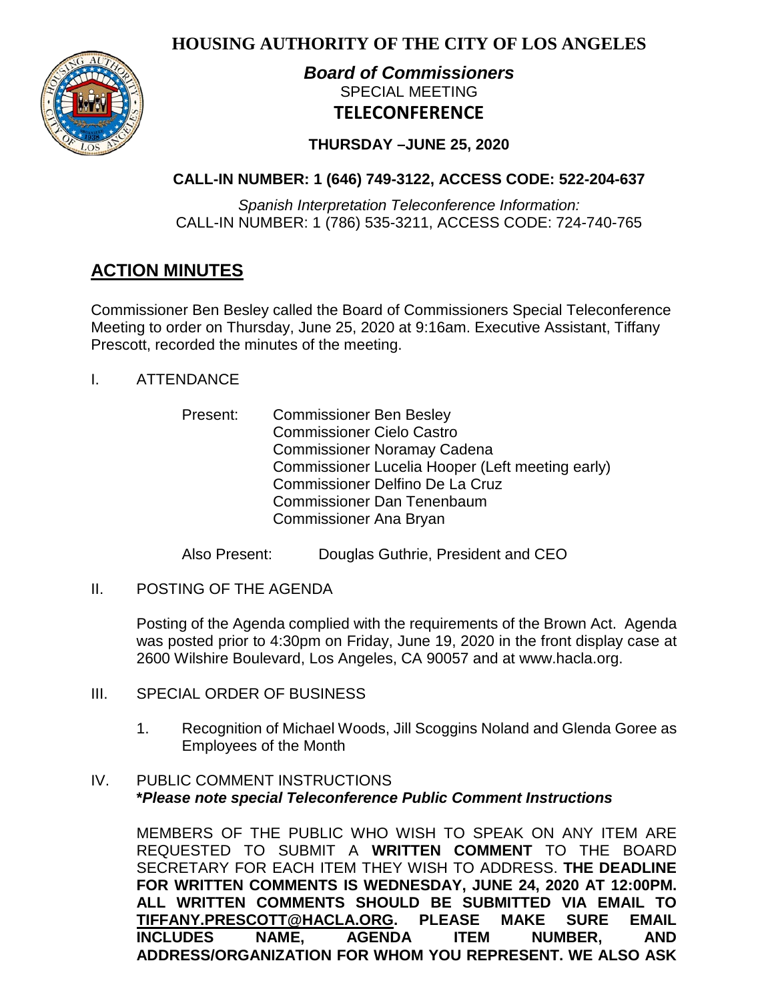**HOUSING AUTHORITY OF THE CITY OF LOS ANGELES**



# *Board of Commissioners* SPECIAL MEETING **TELECONFERENCE**

# **THURSDAY –JUNE 25, 2020**

# **CALL-IN NUMBER: 1 (646) 749-3122, ACCESS CODE: 522-204-637**

*Spanish Interpretation Teleconference Information:* CALL-IN NUMBER: 1 (786) 535-3211, ACCESS CODE: 724-740-765

# **ACTION MINUTES**

Commissioner Ben Besley called the Board of Commissioners Special Teleconference Meeting to order on Thursday, June 25, 2020 at 9:16am. Executive Assistant, Tiffany Prescott, recorded the minutes of the meeting.

- I. ATTENDANCE
	- Present: Commissioner Ben Besley Commissioner Cielo Castro Commissioner Noramay Cadena Commissioner Lucelia Hooper (Left meeting early) Commissioner Delfino De La Cruz Commissioner Dan Tenenbaum Commissioner Ana Bryan

Also Present: Douglas Guthrie, President and CEO

II. POSTING OF THE AGENDA

Posting of the Agenda complied with the requirements of the Brown Act. Agenda was posted prior to 4:30pm on Friday, June 19, 2020 in the front display case at 2600 Wilshire Boulevard, Los Angeles, CA 90057 and at [www.hacla.org.](http://www.hacla.org/)

- III. SPECIAL ORDER OF BUSINESS
	- 1. Recognition of Michael Woods, Jill Scoggins Noland and Glenda Goree as Employees of the Month

# IV. PUBLIC COMMENT INSTRUCTIONS **\****Please note special Teleconference Public Comment Instructions*

MEMBERS OF THE PUBLIC WHO WISH TO SPEAK ON ANY ITEM ARE REQUESTED TO SUBMIT A **WRITTEN COMMENT** TO THE BOARD SECRETARY FOR EACH ITEM THEY WISH TO ADDRESS. **THE DEADLINE FOR WRITTEN COMMENTS IS WEDNESDAY, JUNE 24, 2020 AT 12:00PM. ALL WRITTEN COMMENTS SHOULD BE SUBMITTED VIA EMAIL TO**   $TIFFANY.PRESCOTT@HACLA.ORG.$ **INCLUDES NAME, AGENDA ITEM NUMBER, AND ADDRESS/ORGANIZATION FOR WHOM YOU REPRESENT. WE ALSO ASK**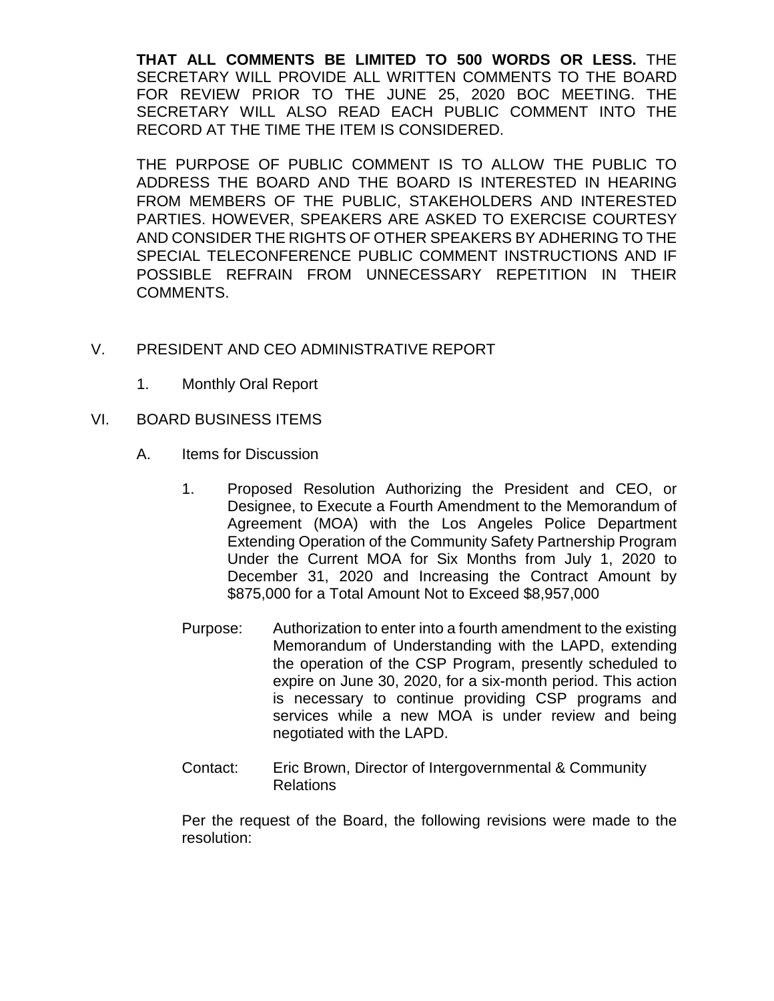**THAT ALL COMMENTS BE LIMITED TO 500 WORDS OR LESS.** THE SECRETARY WILL PROVIDE ALL WRITTEN COMMENTS TO THE BOARD FOR REVIEW PRIOR TO THE JUNE 25, 2020 BOC MEETING. THE SECRETARY WILL ALSO READ EACH PUBLIC COMMENT INTO THE RECORD AT THE TIME THE ITEM IS CONSIDERED.

THE PURPOSE OF PUBLIC COMMENT IS TO ALLOW THE PUBLIC TO ADDRESS THE BOARD AND THE BOARD IS INTERESTED IN HEARING FROM MEMBERS OF THE PUBLIC, STAKEHOLDERS AND INTERESTED PARTIES. HOWEVER, SPEAKERS ARE ASKED TO EXERCISE COURTESY AND CONSIDER THE RIGHTS OF OTHER SPEAKERS BY ADHERING TO THE SPECIAL TELECONFERENCE PUBLIC COMMENT INSTRUCTIONS AND IF POSSIBLE REFRAIN FROM UNNECESSARY REPETITION IN THEIR COMMENTS.

# V. PRESIDENT AND CEO ADMINISTRATIVE REPORT

- 1. Monthly Oral Report
- VI. BOARD BUSINESS ITEMS
	- A. Items for Discussion
		- 1. Proposed Resolution Authorizing the President and CEO, or Designee, to Execute a Fourth Amendment to the Memorandum of Agreement (MOA) with the Los Angeles Police Department Extending Operation of the Community Safety Partnership Program Under the Current MOA for Six Months from July 1, 2020 to December 31, 2020 and Increasing the Contract Amount by \$875,000 for a Total Amount Not to Exceed \$8,957,000
		- Purpose: Authorization to enter into a fourth amendment to the existing Memorandum of Understanding with the LAPD, extending the operation of the CSP Program, presently scheduled to expire on June 30, 2020, for a six-month period. This action is necessary to continue providing CSP programs and services while a new MOA is under review and being negotiated with the LAPD.
		- Contact: Eric Brown, Director of Intergovernmental & Community Relations

Per the request of the Board, the following revisions were made to the resolution: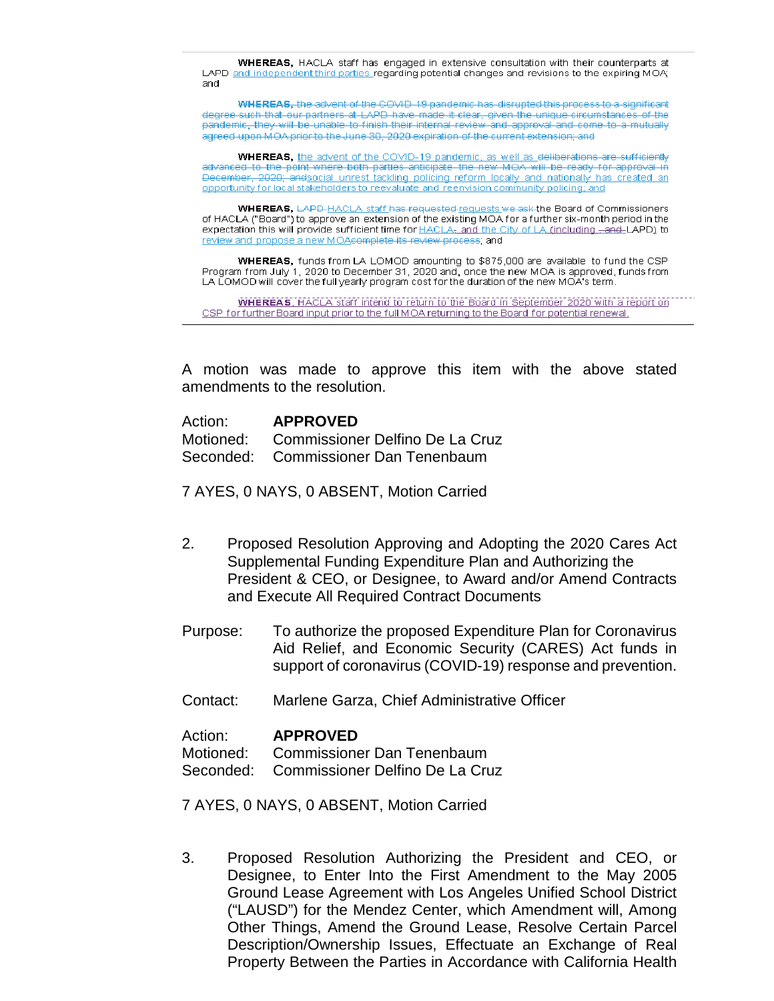WHEREAS, HACLA staff has engaged in extensive consultation with their counterparts at LAPD and independent third parties regarding potential changes and revisions to the expiring MOA; and

WHEREAS, the advent of the COVID-19 pandemic has disrupted this process to a significant degree such that our partners at LAPD have made it clear, given the unique circumstances of the pandemic, they will be unable to finish their internal review and approval and come to a mutually agreed upon MOA prior to the June 30, 2020 expiration of the current extension; and

**WHEREAS**, the advent of the COVID-19 pandemic, as well as deliberations are sufficiently advanced to the point where both parties anticipate the new MOA will be ready for approval in December, 2020; and social unrest tackling policing reform locally and nationally has created an opportunity for local stakeholders to reevaluate and reenvision community policing; and

WHEREAS, LAPD HACLA staff has requested requests we ask the Board of Commissioners of HACLA ("Board") to approve an extension of the existing MOA for a further six-month period in the expectation this will provide sufficient time for **HACLA<sub>7</sub>** and the City of LA (including -and-LAPD) to review and propose a new MOAcomplete its review process; and

WHEREAS, funds from LA LOMOD amounting to \$875,000 are available to fund the CSP Program from July 1, 2020 to December 31, 2020 and, once the new MOA is approved, funds from LA LOMOD will cover the full yearly program cost for the duration of the new MOA's term.

**WHEREAS**, HACLA staff intend to return to the Board in September 2020 with a report on CSP for further Board input prior to the full MOA returning to the Board for potential renewal.

A motion was made to approve this item with the above stated amendments to the resolution.

| Action: | <b>APPROVED</b>                           |
|---------|-------------------------------------------|
|         | Motioned: Commissioner Delfino De La Cruz |
|         | Seconded: Commissioner Dan Tenenbaum      |

7 AYES, 0 NAYS, 0 ABSENT, Motion Carried

- 2. Proposed Resolution Approving and Adopting the 2020 Cares Act Supplemental Funding Expenditure Plan and Authorizing the President & CEO, or Designee, to Award and/or Amend Contracts and Execute All Required Contract Documents
- Purpose: To authorize the proposed Expenditure Plan for Coronavirus Aid Relief, and Economic Security (CARES) Act funds in support of coronavirus (COVID-19) response and prevention.
- Contact: Marlene Garza, Chief Administrative Officer

### Action: **APPROVED**

Motioned: Commissioner Dan Tenenbaum

Seconded: Commissioner Delfino De La Cruz

7 AYES, 0 NAYS, 0 ABSENT, Motion Carried

3. Proposed Resolution Authorizing the President and CEO, or Designee, to Enter Into the First Amendment to the May 2005 Ground Lease Agreement with Los Angeles Unified School District ("LAUSD") for the Mendez Center, which Amendment will, Among Other Things, Amend the Ground Lease, Resolve Certain Parcel Description/Ownership Issues, Effectuate an Exchange of Real Property Between the Parties in Accordance with California Health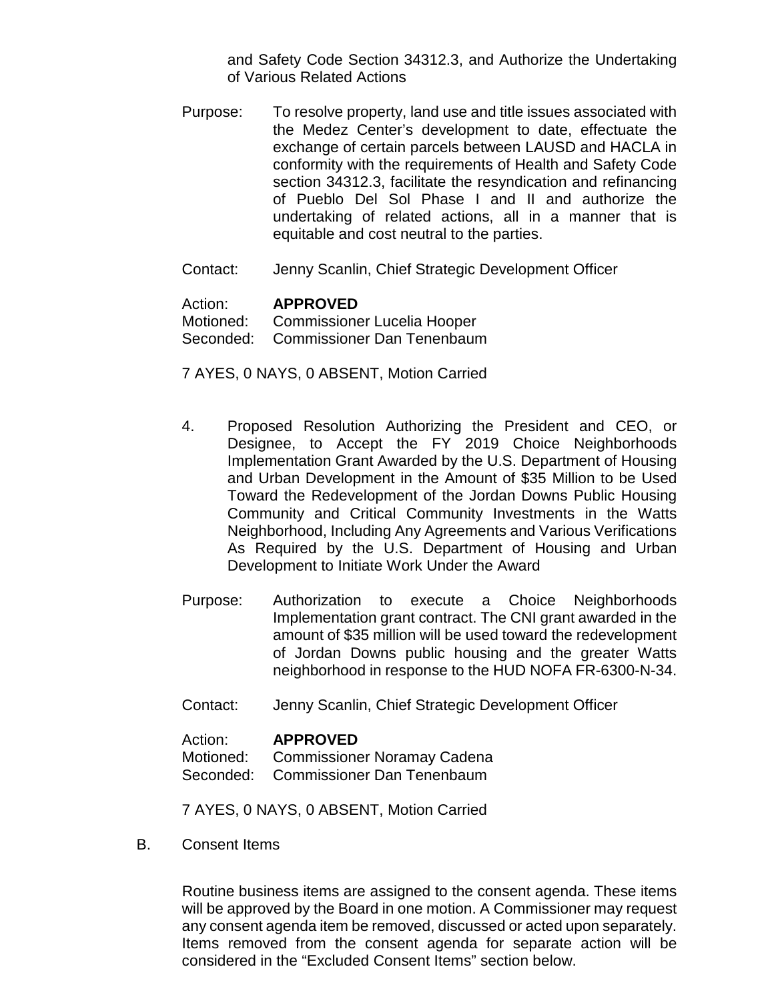and Safety Code Section 34312.3, and Authorize the Undertaking of Various Related Actions

- Purpose: To resolve property, land use and title issues associated with the Medez Center's development to date, effectuate the exchange of certain parcels between LAUSD and HACLA in conformity with the requirements of Health and Safety Code section 34312.3, facilitate the resyndication and refinancing of Pueblo Del Sol Phase I and II and authorize the undertaking of related actions, all in a manner that is equitable and cost neutral to the parties.
- Contact: Jenny Scanlin, Chief Strategic Development Officer

### Action: **APPROVED**

Motioned: Commissioner Lucelia Hooper Seconded: Commissioner Dan Tenenbaum

7 AYES, 0 NAYS, 0 ABSENT, Motion Carried

- 4. Proposed Resolution Authorizing the President and CEO, or Designee, to Accept the FY 2019 Choice Neighborhoods Implementation Grant Awarded by the U.S. Department of Housing and Urban Development in the Amount of \$35 Million to be Used Toward the Redevelopment of the Jordan Downs Public Housing Community and Critical Community Investments in the Watts Neighborhood, Including Any Agreements and Various Verifications As Required by the U.S. Department of Housing and Urban Development to Initiate Work Under the Award
- Purpose: Authorization to execute a Choice Neighborhoods Implementation grant contract. The CNI grant awarded in the amount of \$35 million will be used toward the redevelopment of Jordan Downs public housing and the greater Watts neighborhood in response to the HUD NOFA FR-6300-N-34.
- Contact: Jenny Scanlin, Chief Strategic Development Officer

#### Action: **APPROVED**

Motioned: Commissioner Noramay Cadena

Seconded: Commissioner Dan Tenenbaum

7 AYES, 0 NAYS, 0 ABSENT, Motion Carried

B. Consent Items

Routine business items are assigned to the consent agenda. These items will be approved by the Board in one motion. A Commissioner may request any consent agenda item be removed, discussed or acted upon separately. Items removed from the consent agenda for separate action will be considered in the "Excluded Consent Items" section below.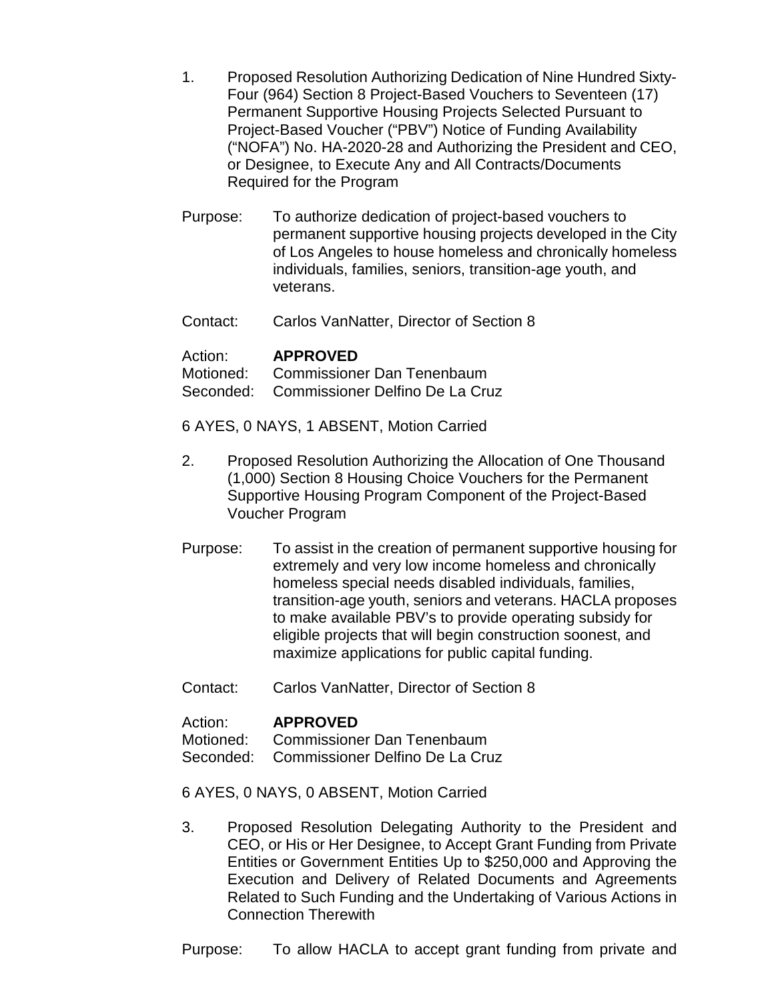- 1. Proposed Resolution Authorizing Dedication of Nine Hundred Sixty-Four (964) Section 8 Project-Based Vouchers to Seventeen (17) Permanent Supportive Housing Projects Selected Pursuant to Project-Based Voucher ("PBV") Notice of Funding Availability ("NOFA") No. HA-2020-28 and Authorizing the President and CEO, or Designee, to Execute Any and All Contracts/Documents Required for the Program
- Purpose: To authorize dedication of project-based vouchers to permanent supportive housing projects developed in the City of Los Angeles to house homeless and chronically homeless individuals, families, seniors, transition-age youth, and veterans.
- Contact: Carlos VanNatter, Director of Section 8

## Action: **APPROVED**

Motioned: Commissioner Dan Tenenbaum Seconded: Commissioner Delfino De La Cruz

- 
- 6 AYES, 0 NAYS, 1 ABSENT, Motion Carried
- 2. Proposed Resolution Authorizing the Allocation of One Thousand (1,000) Section 8 Housing Choice Vouchers for the Permanent Supportive Housing Program Component of the Project-Based Voucher Program
- Purpose: To assist in the creation of permanent supportive housing for extremely and very low income homeless and chronically homeless special needs disabled individuals, families, transition-age youth, seniors and veterans. HACLA proposes to make available PBV's to provide operating subsidy for eligible projects that will begin construction soonest, and maximize applications for public capital funding.
- Contact: Carlos VanNatter, Director of Section 8

# Action: **APPROVED**<br>Motioned: Commissione

Commissioner Dan Tenenbaum

Seconded: Commissioner Delfino De La Cruz

6 AYES, 0 NAYS, 0 ABSENT, Motion Carried

3. Proposed Resolution Delegating Authority to the President and CEO, or His or Her Designee, to Accept Grant Funding from Private Entities or Government Entities Up to \$250,000 and Approving the Execution and Delivery of Related Documents and Agreements Related to Such Funding and the Undertaking of Various Actions in Connection Therewith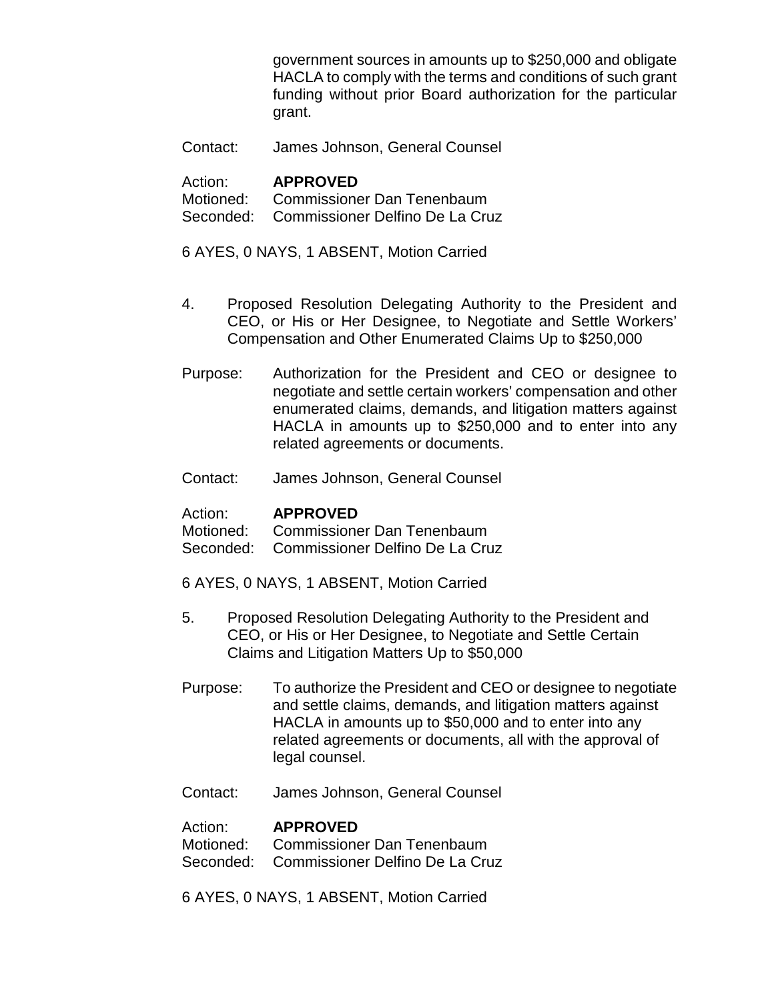government sources in amounts up to \$250,000 and obligate HACLA to comply with the terms and conditions of such grant funding without prior Board authorization for the particular grant.

Contact: James Johnson, General Counsel

### Action: **APPROVED**

Motioned: Commissioner Dan Tenenbaum Seconded: Commissioner Delfino De La Cruz

6 AYES, 0 NAYS, 1 ABSENT, Motion Carried

- 4. Proposed Resolution Delegating Authority to the President and CEO, or His or Her Designee, to Negotiate and Settle Workers' Compensation and Other Enumerated Claims Up to \$250,000
- Purpose: Authorization for the President and CEO or designee to negotiate and settle certain workers' compensation and other enumerated claims, demands, and litigation matters against HACLA in amounts up to \$250,000 and to enter into any related agreements or documents.
- Contact: James Johnson, General Counsel

### Action: **APPROVED**

Motioned: Commissioner Dan Tenenbaum

Seconded: Commissioner Delfino De La Cruz

- 6 AYES, 0 NAYS, 1 ABSENT, Motion Carried
- 5. Proposed Resolution Delegating Authority to the President and CEO, or His or Her Designee, to Negotiate and Settle Certain Claims and Litigation Matters Up to \$50,000
- Purpose: To authorize the President and CEO or designee to negotiate and settle claims, demands, and litigation matters against HACLA in amounts up to \$50,000 and to enter into any related agreements or documents, all with the approval of legal counsel.
- Contact: James Johnson, General Counsel

### Action: **APPROVED**

Motioned: Commissioner Dan Tenenbaum Seconded: Commissioner Delfino De La Cruz

6 AYES, 0 NAYS, 1 ABSENT, Motion Carried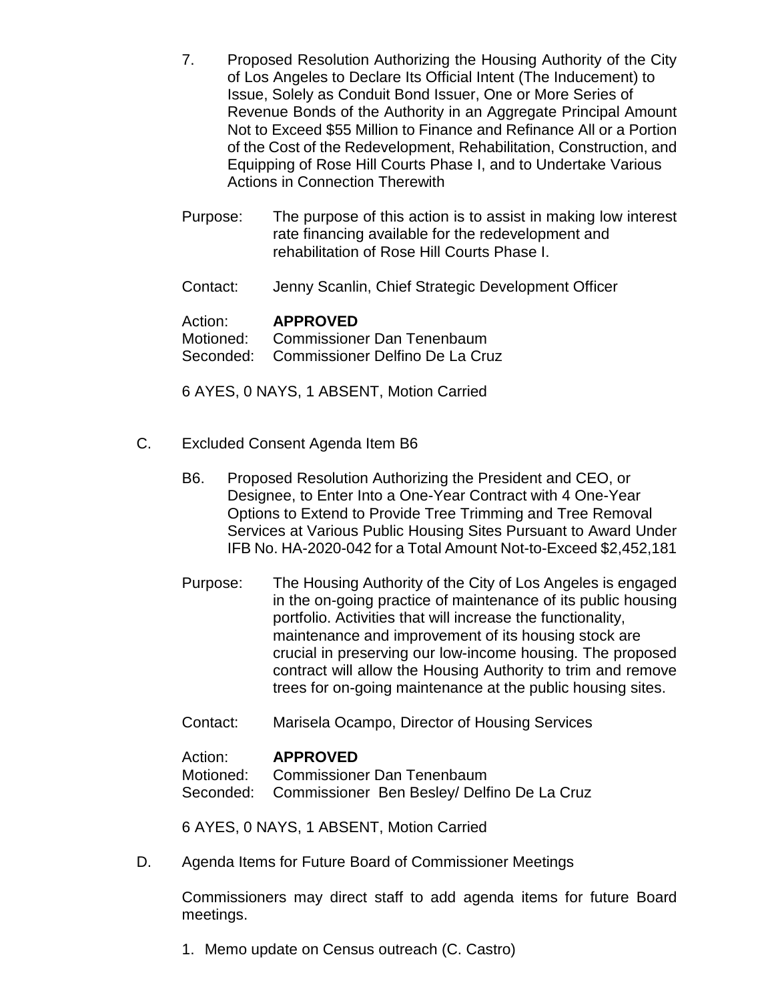- 7. Proposed Resolution Authorizing the Housing Authority of the City of Los Angeles to Declare Its Official Intent (The Inducement) to Issue, Solely as Conduit Bond Issuer, One or More Series of Revenue Bonds of the Authority in an Aggregate Principal Amount Not to Exceed \$55 Million to Finance and Refinance All or a Portion of the Cost of the Redevelopment, Rehabilitation, Construction, and Equipping of Rose Hill Courts Phase I, and to Undertake Various Actions in Connection Therewith
- Purpose: The purpose of this action is to assist in making low interest rate financing available for the redevelopment and rehabilitation of Rose Hill Courts Phase I.
- Contact: Jenny Scanlin, Chief Strategic Development Officer

### Action: **APPROVED**

Motioned: Commissioner Dan Tenenbaum Seconded: Commissioner Delfino De La Cruz

6 AYES, 0 NAYS, 1 ABSENT, Motion Carried

- C. Excluded Consent Agenda Item B6
	- B6. Proposed Resolution Authorizing the President and CEO, or Designee, to Enter Into a One-Year Contract with 4 One-Year Options to Extend to Provide Tree Trimming and Tree Removal Services at Various Public Housing Sites Pursuant to Award Under IFB No. HA-2020-042 for a Total Amount Not-to-Exceed \$2,452,181
	- Purpose: The Housing Authority of the City of Los Angeles is engaged in the on-going practice of maintenance of its public housing portfolio. Activities that will increase the functionality, maintenance and improvement of its housing stock are crucial in preserving our low-income housing. The proposed contract will allow the Housing Authority to trim and remove trees for on-going maintenance at the public housing sites.
	- Contact: Marisela Ocampo, Director of Housing Services

### Action: **APPROVED**

Motioned: Commissioner Dan Tenenbaum Seconded: Commissioner Ben Besley/ Delfino De La Cruz

6 AYES, 0 NAYS, 1 ABSENT, Motion Carried

D. Agenda Items for Future Board of Commissioner Meetings

Commissioners may direct staff to add agenda items for future Board meetings.

1. Memo update on Census outreach (C. Castro)